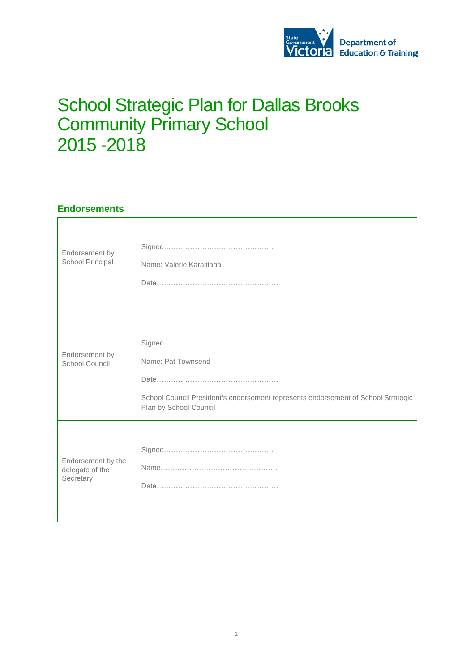

## School Strategic Plan for Dallas Brooks Community Primary School 2015 -2018

## **Endorsements**

| Endorsement by<br>School Principal                 | Name: Valerie Karaitiana                                                                                                          |
|----------------------------------------------------|-----------------------------------------------------------------------------------------------------------------------------------|
| Endorsement by<br>School Council                   | Name: Pat Townsend<br>School Council President's endorsement represents endorsement of School Strategic<br>Plan by School Council |
| Endorsement by the<br>delegate of the<br>Secretary |                                                                                                                                   |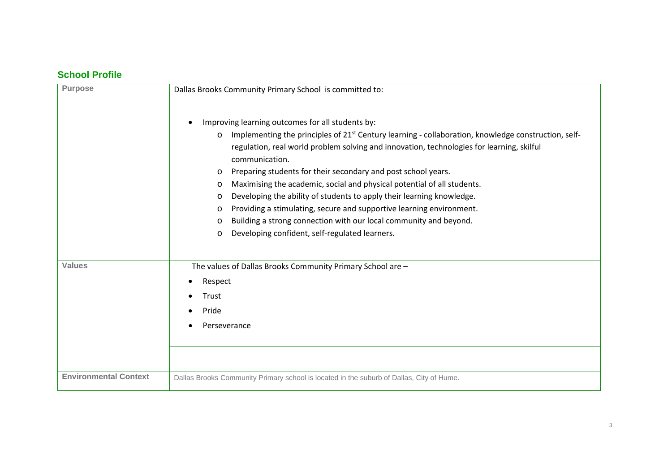## **School Profile**

| <b>Purpose</b>               | Dallas Brooks Community Primary School is committed to:                                                                                                                                                                                                                                                                                                                                                                                                                                                                                                                                                                                                                                                                                                                 |  |  |  |  |  |  |  |
|------------------------------|-------------------------------------------------------------------------------------------------------------------------------------------------------------------------------------------------------------------------------------------------------------------------------------------------------------------------------------------------------------------------------------------------------------------------------------------------------------------------------------------------------------------------------------------------------------------------------------------------------------------------------------------------------------------------------------------------------------------------------------------------------------------------|--|--|--|--|--|--|--|
|                              | Improving learning outcomes for all students by:<br>Implementing the principles of 21 <sup>st</sup> Century learning - collaboration, knowledge construction, self-<br>$\circ$<br>regulation, real world problem solving and innovation, technologies for learning, skilful<br>communication.<br>Preparing students for their secondary and post school years.<br>O<br>Maximising the academic, social and physical potential of all students.<br>$\circ$<br>Developing the ability of students to apply their learning knowledge.<br>$\circ$<br>Providing a stimulating, secure and supportive learning environment.<br>$\circ$<br>Building a strong connection with our local community and beyond.<br>O<br>Developing confident, self-regulated learners.<br>$\circ$ |  |  |  |  |  |  |  |
| <b>Values</b>                | The values of Dallas Brooks Community Primary School are -                                                                                                                                                                                                                                                                                                                                                                                                                                                                                                                                                                                                                                                                                                              |  |  |  |  |  |  |  |
|                              | Respect                                                                                                                                                                                                                                                                                                                                                                                                                                                                                                                                                                                                                                                                                                                                                                 |  |  |  |  |  |  |  |
|                              | Trust                                                                                                                                                                                                                                                                                                                                                                                                                                                                                                                                                                                                                                                                                                                                                                   |  |  |  |  |  |  |  |
|                              | Pride                                                                                                                                                                                                                                                                                                                                                                                                                                                                                                                                                                                                                                                                                                                                                                   |  |  |  |  |  |  |  |
|                              | Perseverance                                                                                                                                                                                                                                                                                                                                                                                                                                                                                                                                                                                                                                                                                                                                                            |  |  |  |  |  |  |  |
|                              |                                                                                                                                                                                                                                                                                                                                                                                                                                                                                                                                                                                                                                                                                                                                                                         |  |  |  |  |  |  |  |
|                              |                                                                                                                                                                                                                                                                                                                                                                                                                                                                                                                                                                                                                                                                                                                                                                         |  |  |  |  |  |  |  |
|                              |                                                                                                                                                                                                                                                                                                                                                                                                                                                                                                                                                                                                                                                                                                                                                                         |  |  |  |  |  |  |  |
| <b>Environmental Context</b> | Dallas Brooks Community Primary school is located in the suburb of Dallas, City of Hume.                                                                                                                                                                                                                                                                                                                                                                                                                                                                                                                                                                                                                                                                                |  |  |  |  |  |  |  |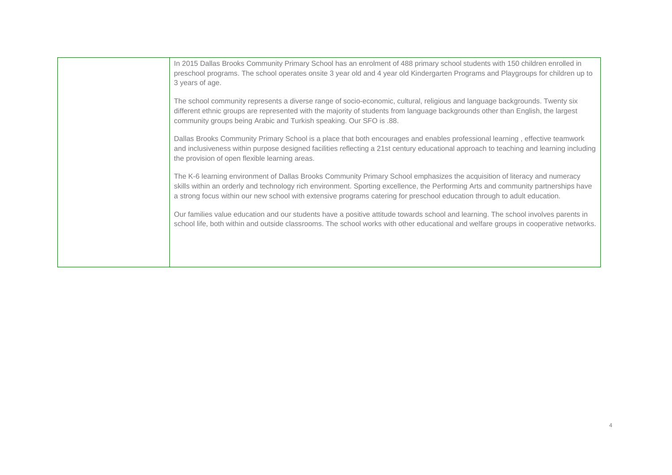| In 2015 Dallas Brooks Community Primary School has an enrolment of 488 primary school students with 150 children enrolled in<br>preschool programs. The school operates onsite 3 year old and 4 year old Kindergarten Programs and Playgroups for children up to<br>3 years of age.                                                                                                           |
|-----------------------------------------------------------------------------------------------------------------------------------------------------------------------------------------------------------------------------------------------------------------------------------------------------------------------------------------------------------------------------------------------|
| The school community represents a diverse range of socio-economic, cultural, religious and language backgrounds. Twenty six<br>different ethnic groups are represented with the majority of students from language backgrounds other than English, the largest<br>community groups being Arabic and Turkish speaking. Our SFO is .88.                                                         |
| Dallas Brooks Community Primary School is a place that both encourages and enables professional learning, effective teamwork<br>and inclusiveness within purpose designed facilities reflecting a 21st century educational approach to teaching and learning including<br>the provision of open flexible learning areas.                                                                      |
| The K-6 learning environment of Dallas Brooks Community Primary School emphasizes the acquisition of literacy and numeracy<br>skills within an orderly and technology rich environment. Sporting excellence, the Performing Arts and community partnerships have<br>a strong focus within our new school with extensive programs catering for preschool education through to adult education. |
| Our families value education and our students have a positive attitude towards school and learning. The school involves parents in<br>school life, both within and outside classrooms. The school works with other educational and welfare groups in cooperative networks.                                                                                                                    |
|                                                                                                                                                                                                                                                                                                                                                                                               |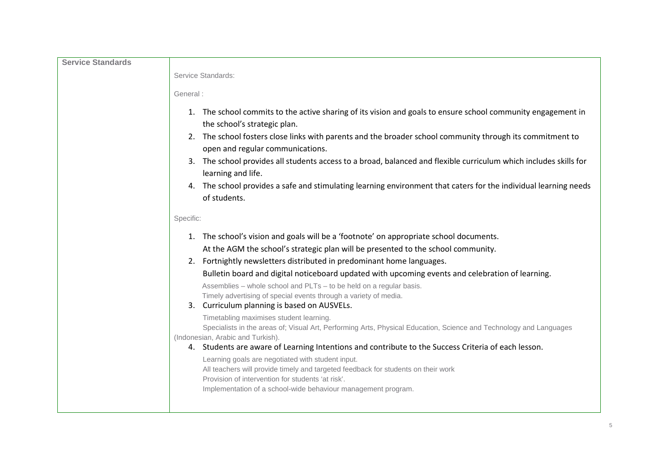| <b>Service Standards</b> |                                                                                                                                                                                                    |
|--------------------------|----------------------------------------------------------------------------------------------------------------------------------------------------------------------------------------------------|
|                          | Service Standards:                                                                                                                                                                                 |
|                          |                                                                                                                                                                                                    |
|                          | General:                                                                                                                                                                                           |
|                          | 1. The school commits to the active sharing of its vision and goals to ensure school community engagement in<br>the school's strategic plan.                                                       |
|                          | 2. The school fosters close links with parents and the broader school community through its commitment to<br>open and regular communications.                                                      |
|                          | 3. The school provides all students access to a broad, balanced and flexible curriculum which includes skills for<br>learning and life.                                                            |
|                          | 4. The school provides a safe and stimulating learning environment that caters for the individual learning needs<br>of students.                                                                   |
|                          | Specific:                                                                                                                                                                                          |
|                          | 1. The school's vision and goals will be a 'footnote' on appropriate school documents.                                                                                                             |
|                          | At the AGM the school's strategic plan will be presented to the school community.                                                                                                                  |
|                          | 2. Fortnightly newsletters distributed in predominant home languages.                                                                                                                              |
|                          | Bulletin board and digital noticeboard updated with upcoming events and celebration of learning.                                                                                                   |
|                          | Assemblies - whole school and PLTs - to be held on a regular basis.                                                                                                                                |
|                          | Timely advertising of special events through a variety of media.                                                                                                                                   |
|                          | 3. Curriculum planning is based on AUSVELs.                                                                                                                                                        |
|                          | Timetabling maximises student learning.<br>Specialists in the areas of; Visual Art, Performing Arts, Physical Education, Science and Technology and Languages<br>(Indonesian, Arabic and Turkish). |
|                          | 4. Students are aware of Learning Intentions and contribute to the Success Criteria of each lesson.                                                                                                |
|                          | Learning goals are negotiated with student input.                                                                                                                                                  |
|                          | All teachers will provide timely and targeted feedback for students on their work                                                                                                                  |
|                          | Provision of intervention for students 'at risk'.                                                                                                                                                  |
|                          | Implementation of a school-wide behaviour management program.                                                                                                                                      |
|                          |                                                                                                                                                                                                    |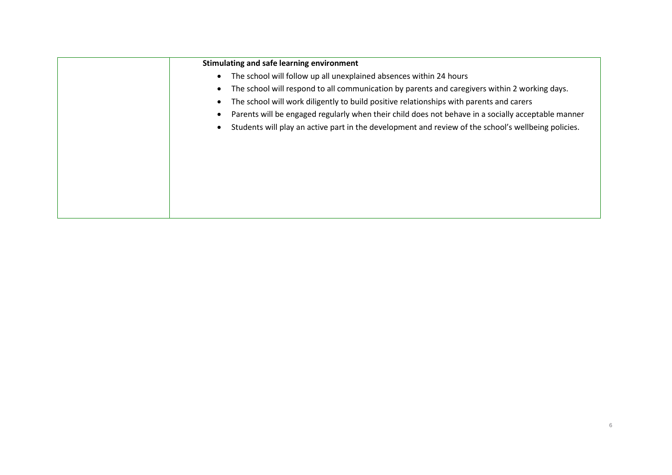| Stimulating and safe learning environment                                                           |
|-----------------------------------------------------------------------------------------------------|
| The school will follow up all unexplained absences within 24 hours                                  |
| The school will respond to all communication by parents and caregivers within 2 working days.       |
| The school will work diligently to build positive relationships with parents and carers             |
| Parents will be engaged regularly when their child does not behave in a socially acceptable manner  |
| Students will play an active part in the development and review of the school's wellbeing policies. |
|                                                                                                     |
|                                                                                                     |
|                                                                                                     |
|                                                                                                     |
|                                                                                                     |
|                                                                                                     |
|                                                                                                     |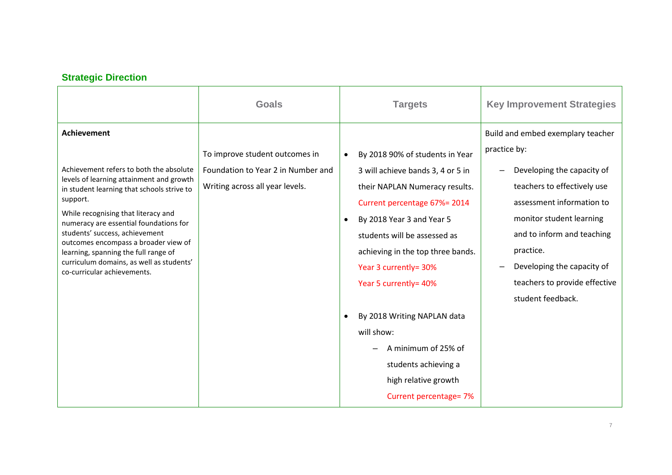## **Strategic Direction**

|                                                                                                                                                                                                                                                                                                                                                                                                                                                   | <b>Goals</b>                                                                                            | <b>Targets</b>                                                                                                                                                                                                                                                                                                                                                                                                                           | <b>Key Improvement Strategies</b>                                                                                                                                                                                                                                                                      |
|---------------------------------------------------------------------------------------------------------------------------------------------------------------------------------------------------------------------------------------------------------------------------------------------------------------------------------------------------------------------------------------------------------------------------------------------------|---------------------------------------------------------------------------------------------------------|------------------------------------------------------------------------------------------------------------------------------------------------------------------------------------------------------------------------------------------------------------------------------------------------------------------------------------------------------------------------------------------------------------------------------------------|--------------------------------------------------------------------------------------------------------------------------------------------------------------------------------------------------------------------------------------------------------------------------------------------------------|
| <b>Achievement</b><br>Achievement refers to both the absolute<br>levels of learning attainment and growth<br>in student learning that schools strive to<br>support.<br>While recognising that literacy and<br>numeracy are essential foundations for<br>students' success, achievement<br>outcomes encompass a broader view of<br>learning, spanning the full range of<br>curriculum domains, as well as students'<br>co-curricular achievements. | To improve student outcomes in<br>Foundation to Year 2 in Number and<br>Writing across all year levels. | By 2018 90% of students in Year<br>3 will achieve bands 3, 4 or 5 in<br>their NAPLAN Numeracy results.<br>Current percentage 67%= 2014<br>By 2018 Year 3 and Year 5<br>students will be assessed as<br>achieving in the top three bands.<br>Year 3 currently= 30%<br>Year 5 currently= 40%<br>By 2018 Writing NAPLAN data<br>will show:<br>A minimum of 25% of<br>students achieving a<br>high relative growth<br>Current percentage= 7% | Build and embed exemplary teacher<br>practice by:<br>Developing the capacity of<br>teachers to effectively use<br>assessment information to<br>monitor student learning<br>and to inform and teaching<br>practice.<br>Developing the capacity of<br>teachers to provide effective<br>student feedback. |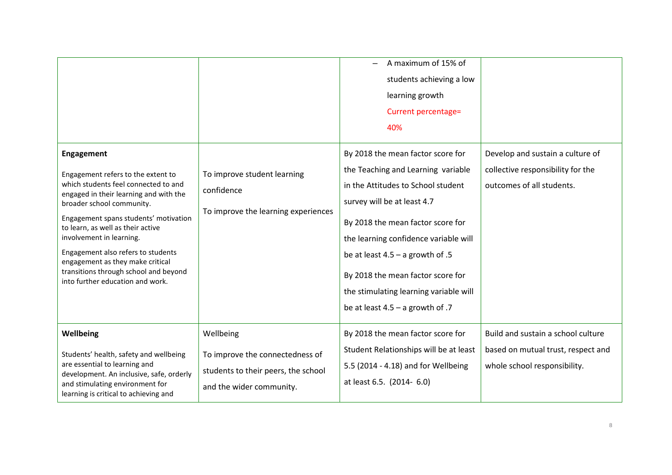|                                                                                                                                                                                                                                                                                                                                                                                                                                         |                                                                                                                 | A maximum of 15% of<br>students achieving a low<br>learning growth<br>Current percentage=<br>40%                                                                                                                                                                                                                                                                                      |                                                                                                          |
|-----------------------------------------------------------------------------------------------------------------------------------------------------------------------------------------------------------------------------------------------------------------------------------------------------------------------------------------------------------------------------------------------------------------------------------------|-----------------------------------------------------------------------------------------------------------------|---------------------------------------------------------------------------------------------------------------------------------------------------------------------------------------------------------------------------------------------------------------------------------------------------------------------------------------------------------------------------------------|----------------------------------------------------------------------------------------------------------|
| <b>Engagement</b><br>Engagement refers to the extent to<br>which students feel connected to and<br>engaged in their learning and with the<br>broader school community.<br>Engagement spans students' motivation<br>to learn, as well as their active<br>involvement in learning.<br>Engagement also refers to students<br>engagement as they make critical<br>transitions through school and beyond<br>into further education and work. | To improve student learning<br>confidence<br>To improve the learning experiences                                | By 2018 the mean factor score for<br>the Teaching and Learning variable<br>in the Attitudes to School student<br>survey will be at least 4.7<br>By 2018 the mean factor score for<br>the learning confidence variable will<br>be at least $4.5 - a$ growth of .5<br>By 2018 the mean factor score for<br>the stimulating learning variable will<br>be at least $4.5 - a$ growth of .7 | Develop and sustain a culture of<br>collective responsibility for the<br>outcomes of all students.       |
| Wellbeing<br>Students' health, safety and wellbeing<br>are essential to learning and<br>development. An inclusive, safe, orderly<br>and stimulating environment for<br>learning is critical to achieving and                                                                                                                                                                                                                            | Wellbeing<br>To improve the connectedness of<br>students to their peers, the school<br>and the wider community. | By 2018 the mean factor score for<br>Student Relationships will be at least<br>5.5 (2014 - 4.18) and for Wellbeing<br>at least 6.5. (2014- 6.0)                                                                                                                                                                                                                                       | Build and sustain a school culture<br>based on mutual trust, respect and<br>whole school responsibility. |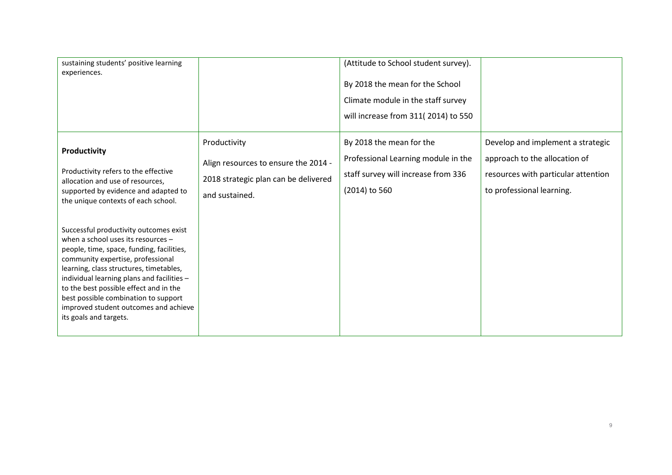| sustaining students' positive learning<br>experiences.                                                                                                                                                                                                                                                                                                                                                       |                                                                                                                | (Attitude to School student survey).<br>By 2018 the mean for the School<br>Climate module in the staff survey<br>will increase from 311(2014) to 550 |                                                                                                                                        |
|--------------------------------------------------------------------------------------------------------------------------------------------------------------------------------------------------------------------------------------------------------------------------------------------------------------------------------------------------------------------------------------------------------------|----------------------------------------------------------------------------------------------------------------|------------------------------------------------------------------------------------------------------------------------------------------------------|----------------------------------------------------------------------------------------------------------------------------------------|
| Productivity<br>Productivity refers to the effective<br>allocation and use of resources,<br>supported by evidence and adapted to<br>the unique contexts of each school.                                                                                                                                                                                                                                      | Productivity<br>Align resources to ensure the 2014 -<br>2018 strategic plan can be delivered<br>and sustained. | By 2018 the mean for the<br>Professional Learning module in the<br>staff survey will increase from 336<br>$(2014)$ to 560                            | Develop and implement a strategic<br>approach to the allocation of<br>resources with particular attention<br>to professional learning. |
| Successful productivity outcomes exist<br>when a school uses its resources -<br>people, time, space, funding, facilities,<br>community expertise, professional<br>learning, class structures, timetables,<br>individual learning plans and facilities -<br>to the best possible effect and in the<br>best possible combination to support<br>improved student outcomes and achieve<br>its goals and targets. |                                                                                                                |                                                                                                                                                      |                                                                                                                                        |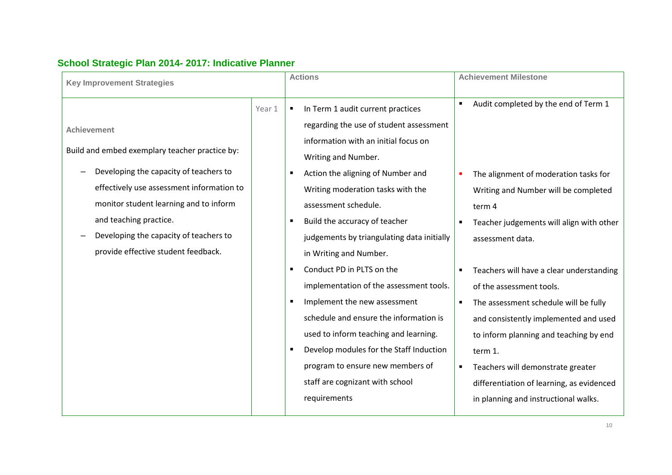| School Strategic Plan 2014- 2017: Indicative Planner |  |  |
|------------------------------------------------------|--|--|
|------------------------------------------------------|--|--|

| <b>Key Improvement Strategies</b>                                                                                                                                                                                                                                                                                |        | <b>Actions</b>                                                                                                                                                                                                                                                                                                                                                                                                                                                                                                                                                                                                                                                                                        | <b>Achievement Milestone</b>                                                                                                                                                                                                                                                                                                                                                                                                                                                                                                                                              |
|------------------------------------------------------------------------------------------------------------------------------------------------------------------------------------------------------------------------------------------------------------------------------------------------------------------|--------|-------------------------------------------------------------------------------------------------------------------------------------------------------------------------------------------------------------------------------------------------------------------------------------------------------------------------------------------------------------------------------------------------------------------------------------------------------------------------------------------------------------------------------------------------------------------------------------------------------------------------------------------------------------------------------------------------------|---------------------------------------------------------------------------------------------------------------------------------------------------------------------------------------------------------------------------------------------------------------------------------------------------------------------------------------------------------------------------------------------------------------------------------------------------------------------------------------------------------------------------------------------------------------------------|
| <b>Achievement</b><br>Build and embed exemplary teacher practice by:<br>Developing the capacity of teachers to<br>effectively use assessment information to<br>monitor student learning and to inform<br>and teaching practice.<br>Developing the capacity of teachers to<br>provide effective student feedback. | Year 1 | In Term 1 audit current practices<br>regarding the use of student assessment<br>information with an initial focus on<br>Writing and Number.<br>Action the aligning of Number and<br>Writing moderation tasks with the<br>assessment schedule.<br>Build the accuracy of teacher<br>judgements by triangulating data initially<br>in Writing and Number.<br>Conduct PD in PLTS on the<br>$\blacksquare$<br>implementation of the assessment tools.<br>Implement the new assessment<br>schedule and ensure the information is<br>used to inform teaching and learning.<br>Develop modules for the Staff Induction<br>program to ensure new members of<br>staff are cognizant with school<br>requirements | Audit completed by the end of Term 1<br>$\blacksquare$<br>The alignment of moderation tasks for<br>п<br>Writing and Number will be completed<br>term 4<br>Teacher judgements will align with other<br>assessment data.<br>Teachers will have a clear understanding<br>٠<br>of the assessment tools.<br>The assessment schedule will be fully<br>٠<br>and consistently implemented and used<br>to inform planning and teaching by end<br>term 1.<br>Teachers will demonstrate greater<br>differentiation of learning, as evidenced<br>in planning and instructional walks. |
|                                                                                                                                                                                                                                                                                                                  |        |                                                                                                                                                                                                                                                                                                                                                                                                                                                                                                                                                                                                                                                                                                       |                                                                                                                                                                                                                                                                                                                                                                                                                                                                                                                                                                           |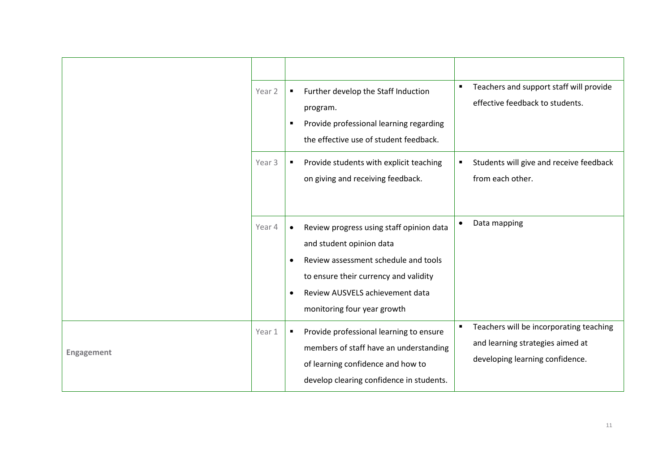|            | Year 2 | ٠         | Further develop the Staff Induction      | Teachers and support staff will provide<br>٠ |
|------------|--------|-----------|------------------------------------------|----------------------------------------------|
|            |        |           | program.                                 | effective feedback to students.              |
|            |        | п         | Provide professional learning regarding  |                                              |
|            |        |           | the effective use of student feedback.   |                                              |
|            | Year 3 | ٠         | Provide students with explicit teaching  | Students will give and receive feedback<br>٠ |
|            |        |           | on giving and receiving feedback.        | from each other.                             |
|            |        |           |                                          |                                              |
|            |        |           |                                          | Data mapping                                 |
|            | Year 4 | $\bullet$ | Review progress using staff opinion data |                                              |
|            |        |           | and student opinion data                 |                                              |
|            |        |           | Review assessment schedule and tools     |                                              |
|            |        |           | to ensure their currency and validity    |                                              |
|            |        | $\bullet$ | Review AUSVELS achievement data          |                                              |
|            |        |           | monitoring four year growth              |                                              |
|            | Year 1 |           | Provide professional learning to ensure  | Teachers will be incorporating teaching<br>٠ |
| Engagement |        |           | members of staff have an understanding   | and learning strategies aimed at             |
|            |        |           | of learning confidence and how to        | developing learning confidence.              |
|            |        |           | develop clearing confidence in students. |                                              |
|            |        |           |                                          |                                              |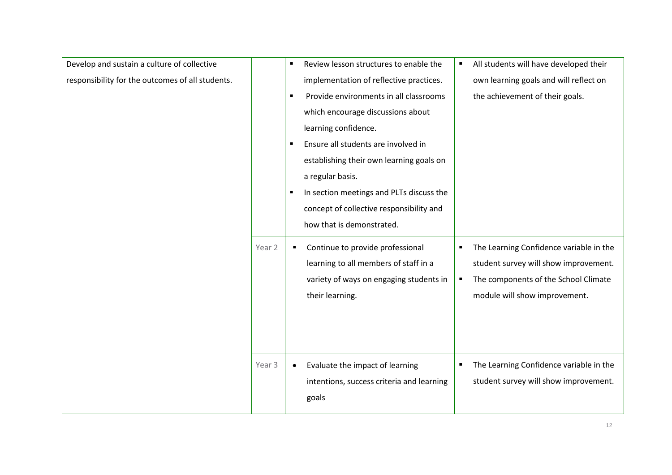| Develop and sustain a culture of collective      |        | $\blacksquare$ | Review lesson structures to enable the    | $\blacksquare$ | All students will have developed their  |
|--------------------------------------------------|--------|----------------|-------------------------------------------|----------------|-----------------------------------------|
| responsibility for the outcomes of all students. |        |                | implementation of reflective practices.   |                | own learning goals and will reflect on  |
|                                                  |        | $\blacksquare$ | Provide environments in all classrooms    |                | the achievement of their goals.         |
|                                                  |        |                | which encourage discussions about         |                |                                         |
|                                                  |        |                | learning confidence.                      |                |                                         |
|                                                  |        | $\blacksquare$ | Ensure all students are involved in       |                |                                         |
|                                                  |        |                | establishing their own learning goals on  |                |                                         |
|                                                  |        |                | a regular basis.                          |                |                                         |
|                                                  |        | $\blacksquare$ | In section meetings and PLTs discuss the  |                |                                         |
|                                                  |        |                | concept of collective responsibility and  |                |                                         |
|                                                  |        |                | how that is demonstrated.                 |                |                                         |
|                                                  |        |                |                                           |                |                                         |
|                                                  | Year 2 |                | Continue to provide professional          | $\blacksquare$ | The Learning Confidence variable in the |
|                                                  |        |                | learning to all members of staff in a     |                | student survey will show improvement.   |
|                                                  |        |                | variety of ways on engaging students in   | $\blacksquare$ | The components of the School Climate    |
|                                                  |        |                | their learning.                           |                | module will show improvement.           |
|                                                  |        |                |                                           |                |                                         |
|                                                  |        |                |                                           |                |                                         |
|                                                  |        |                |                                           |                |                                         |
|                                                  | Year 3 |                | Evaluate the impact of learning           | п              | The Learning Confidence variable in the |
|                                                  |        |                | intentions, success criteria and learning |                | student survey will show improvement.   |
|                                                  |        |                | goals                                     |                |                                         |
|                                                  |        |                |                                           |                |                                         |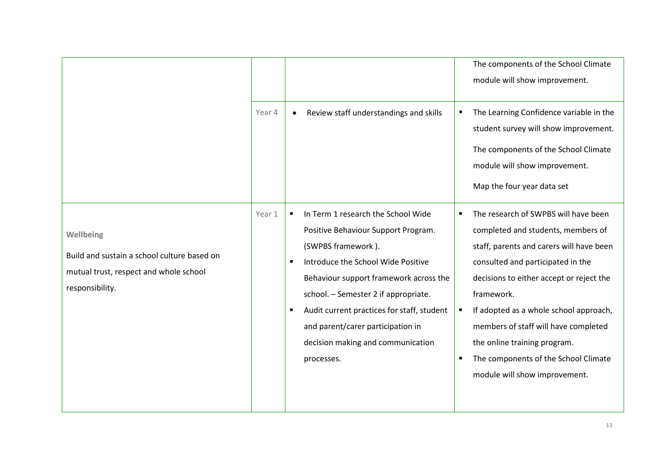|                                                                                                                       |        |                                                                                                                                                                                                                                                                                                                                                                                                   | The components of the School Climate<br>module will show improvement.                                                                                                                                                                                                                                                                                                                                                                   |
|-----------------------------------------------------------------------------------------------------------------------|--------|---------------------------------------------------------------------------------------------------------------------------------------------------------------------------------------------------------------------------------------------------------------------------------------------------------------------------------------------------------------------------------------------------|-----------------------------------------------------------------------------------------------------------------------------------------------------------------------------------------------------------------------------------------------------------------------------------------------------------------------------------------------------------------------------------------------------------------------------------------|
|                                                                                                                       | Year 4 | Review staff understandings and skills                                                                                                                                                                                                                                                                                                                                                            | The Learning Confidence variable in the<br>٠<br>student survey will show improvement.<br>The components of the School Climate<br>module will show improvement.<br>Map the four year data set                                                                                                                                                                                                                                            |
| Wellbeing<br>Build and sustain a school culture based on<br>mutual trust, respect and whole school<br>responsibility. | Year 1 | In Term 1 research the School Wide<br>Positive Behaviour Support Program.<br>(SWPBS framework).<br>Introduce the School Wide Positive<br>$\blacksquare$<br>Behaviour support framework across the<br>school. - Semester 2 if appropriate.<br>Audit current practices for staff, student<br>$\blacksquare$<br>and parent/carer participation in<br>decision making and communication<br>processes. | The research of SWPBS will have been<br>completed and students, members of<br>staff, parents and carers will have been<br>consulted and participated in the<br>decisions to either accept or reject the<br>framework.<br>If adopted as a whole school approach,<br>$\blacksquare$<br>members of staff will have completed<br>the online training program.<br>The components of the School Climate<br>٠<br>module will show improvement. |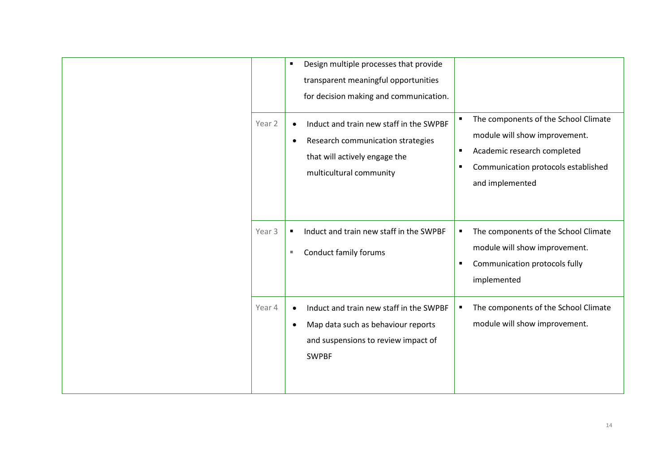| Year 2 | $\blacksquare$<br>$\bullet$ | Design multiple processes that provide<br>transparent meaningful opportunities<br>for decision making and communication.<br>Induct and train new staff in the SWPBF<br>Research communication strategies<br>that will actively engage the<br>multicultural community | $\blacksquare$<br>٠ | The components of the School Climate<br>module will show improvement.<br>Academic research completed<br>Communication protocols established<br>and implemented |
|--------|-----------------------------|----------------------------------------------------------------------------------------------------------------------------------------------------------------------------------------------------------------------------------------------------------------------|---------------------|----------------------------------------------------------------------------------------------------------------------------------------------------------------|
| Year 3 | $\blacksquare$<br><b>II</b> | Induct and train new staff in the SWPBF<br>Conduct family forums                                                                                                                                                                                                     | ٠<br>п.             | The components of the School Climate<br>module will show improvement.<br>Communication protocols fully<br>implemented                                          |
| Year 4 | $\bullet$                   | Induct and train new staff in the SWPBF<br>Map data such as behaviour reports<br>and suspensions to review impact of<br><b>SWPBF</b>                                                                                                                                 | ٠                   | The components of the School Climate<br>module will show improvement.                                                                                          |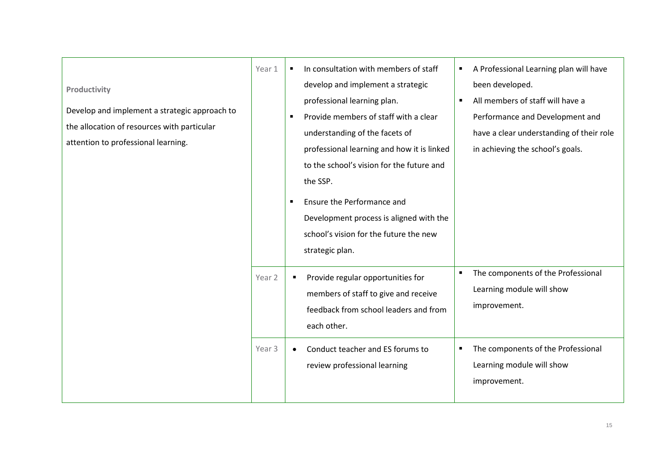| Productivity<br>Develop and implement a strategic approach to<br>the allocation of resources with particular<br>attention to professional learning. | Year 1           | Е<br>$\blacksquare$<br>$\blacksquare$ | In consultation with members of staff<br>develop and implement a strategic<br>professional learning plan.<br>Provide members of staff with a clear<br>understanding of the facets of<br>professional learning and how it is linked<br>to the school's vision for the future and<br>the SSP.<br>Ensure the Performance and<br>Development process is aligned with the<br>school's vision for the future the new<br>strategic plan. | A Professional Learning plan will have<br>been developed.<br>All members of staff will have a<br>Performance and Development and<br>have a clear understanding of their role<br>in achieving the school's goals. |
|-----------------------------------------------------------------------------------------------------------------------------------------------------|------------------|---------------------------------------|-----------------------------------------------------------------------------------------------------------------------------------------------------------------------------------------------------------------------------------------------------------------------------------------------------------------------------------------------------------------------------------------------------------------------------------|------------------------------------------------------------------------------------------------------------------------------------------------------------------------------------------------------------------|
|                                                                                                                                                     | Year 2<br>Year 3 |                                       | Provide regular opportunities for<br>members of staff to give and receive<br>feedback from school leaders and from<br>each other.<br>Conduct teacher and ES forums to<br>review professional learning                                                                                                                                                                                                                             | The components of the Professional<br>Learning module will show<br>improvement.<br>The components of the Professional<br>Learning module will show<br>improvement.                                               |
|                                                                                                                                                     |                  |                                       |                                                                                                                                                                                                                                                                                                                                                                                                                                   |                                                                                                                                                                                                                  |